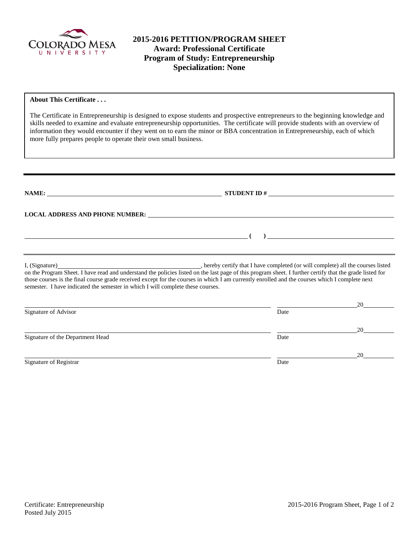

## **2015-2016 PETITION/PROGRAM SHEET Award: Professional Certificate Program of Study: Entrepreneurship Specialization: None**

#### **About This Certificate . . .**

The Certificate in Entrepreneurship is designed to expose students and prospective entrepreneurs to the beginning knowledge and skills needed to examine and evaluate entrepreneurship opportunities. The certificate will provide students with an overview of information they would encounter if they went on to earn the minor or BBA concentration in Entrepreneurship, each of which more fully prepares people to operate their own small business.

|                                                                                 | LOCAL ADDRESS AND PHONE NUMBER: University of the contract of the contract of the contract of the contract of the contract of the contract of the contract of the contract of the contract of the contract of the contract of                                                                              |    |
|---------------------------------------------------------------------------------|------------------------------------------------------------------------------------------------------------------------------------------------------------------------------------------------------------------------------------------------------------------------------------------------------------|----|
| <u> 1989 - Johann Barbara, martxa eta idazlea (h. 1989).</u>                    | ) and the contract of the contract of $\mathcal{L}$                                                                                                                                                                                                                                                        |    |
| semester. I have indicated the semester in which I will complete these courses. | on the Program Sheet. I have read and understand the policies listed on the last page of this program sheet. I further certify that the grade listed for<br>those courses is the final course grade received except for the courses in which I am currently enrolled and the courses which I complete next |    |
| Signature of Advisor                                                            | Date                                                                                                                                                                                                                                                                                                       | 20 |
| Signature of the Department Head                                                | Date                                                                                                                                                                                                                                                                                                       | 20 |
|                                                                                 |                                                                                                                                                                                                                                                                                                            | 20 |

Signature of Registrar Date and Separature of Registrar Date and Separature of Registrar Date